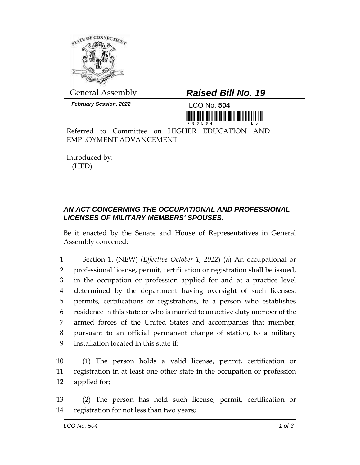

*February Session, 2022* LCO No. **504**

## General Assembly *Raised Bill No. 19*



Referred to Committee on HIGHER EDUCATION AND EMPLOYMENT ADVANCEMENT

Introduced by: (HED)

## *AN ACT CONCERNING THE OCCUPATIONAL AND PROFESSIONAL LICENSES OF MILITARY MEMBERS' SPOUSES.*

Be it enacted by the Senate and House of Representatives in General Assembly convened:

 Section 1. (NEW) (*Effective October 1, 2022*) (a) An occupational or professional license, permit, certification or registration shall be issued, in the occupation or profession applied for and at a practice level determined by the department having oversight of such licenses, permits, certifications or registrations, to a person who establishes residence in this state or who is married to an active duty member of the armed forces of the United States and accompanies that member, pursuant to an official permanent change of station, to a military installation located in this state if:

10 (1) The person holds a valid license, permit, certification or 11 registration in at least one other state in the occupation or profession 12 applied for;

13 (2) The person has held such license, permit, certification or 14 registration for not less than two years;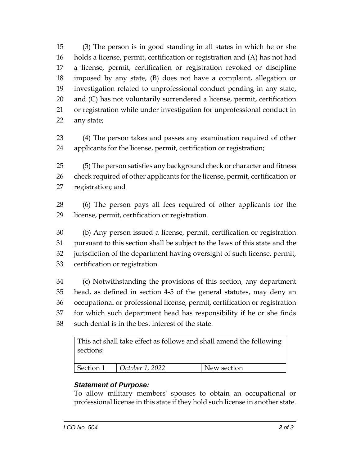(3) The person is in good standing in all states in which he or she holds a license, permit, certification or registration and (A) has not had a license, permit, certification or registration revoked or discipline imposed by any state, (B) does not have a complaint, allegation or investigation related to unprofessional conduct pending in any state, and (C) has not voluntarily surrendered a license, permit, certification or registration while under investigation for unprofessional conduct in any state;

 (4) The person takes and passes any examination required of other applicants for the license, permit, certification or registration;

 (5) The person satisfies any background check or character and fitness 26 check required of other applicants for the license, permit, certification or registration; and

 (6) The person pays all fees required of other applicants for the license, permit, certification or registration.

 (b) Any person issued a license, permit, certification or registration pursuant to this section shall be subject to the laws of this state and the jurisdiction of the department having oversight of such license, permit, certification or registration.

 (c) Notwithstanding the provisions of this section, any department head, as defined in section 4-5 of the general statutes, may deny an occupational or professional license, permit, certification or registration for which such department head has responsibility if he or she finds such denial is in the best interest of the state.

This act shall take effect as follows and shall amend the following sections:

| Section 1 | October 1, 2022 | New section |
|-----------|-----------------|-------------|
|           |                 |             |

## *Statement of Purpose:*

To allow military members' spouses to obtain an occupational or professional license in this state if they hold such license in another state.